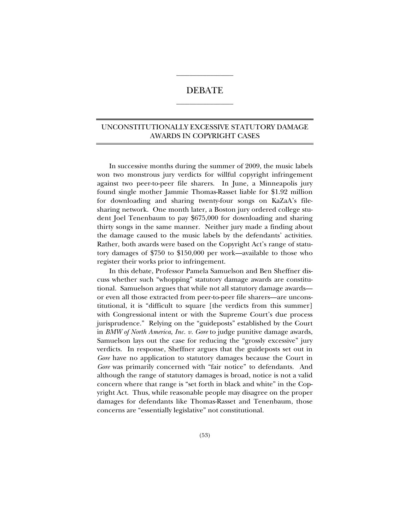# DEBATE  $\overline{\phantom{a}}$  , where  $\overline{\phantom{a}}$

 $\_$ 

## UNCONSTITUTIONALLY EXCESSIVE STATUTORY DAMAGE AWARDS IN COPYRIGHT CASES

In successive months during the summer of 2009, the music labels won two monstrous jury verdicts for willful copyright infringement against two peer-to-peer file sharers. In June, a Minneapolis jury found single mother Jammie Thomas-Rasset liable for \$1.92 million for downloading and sharing twenty-four songs on KaZaA's filesharing network. One month later, a Boston jury ordered college student Joel Tenenbaum to pay \$675,000 for downloading and sharing thirty songs in the same manner. Neither jury made a finding about the damage caused to the music labels by the defendants' activities. Rather, both awards were based on the Copyright Act's range of statutory damages of \$750 to \$150,000 per work—available to those who register their works prior to infringement.

In this debate, Professor Pamela Samuelson and Ben Sheffner discuss whether such "whopping" statutory damage awards are constitutional. Samuelson argues that while not all statutory damage awards or even all those extracted from peer-to-peer file sharers—are unconstitutional, it is "difficult to square [the verdicts from this summer] with Congressional intent or with the Supreme Court's due process jurisprudence." Relying on the "guideposts" established by the Court in *BMW of North America, Inc. v. Gore* to judge punitive damage awards, Samuelson lays out the case for reducing the "grossly excessive" jury verdicts. In response, Sheffner argues that the guideposts set out in *Gore* have no application to statutory damages because the Court in *Gore* was primarily concerned with "fair notice" to defendants. And although the range of statutory damages is broad, notice is not a valid concern where that range is "set forth in black and white" in the Copyright Act. Thus, while reasonable people may disagree on the proper damages for defendants like Thomas-Rasset and Tenenbaum, those concerns are "essentially legislative" not constitutional.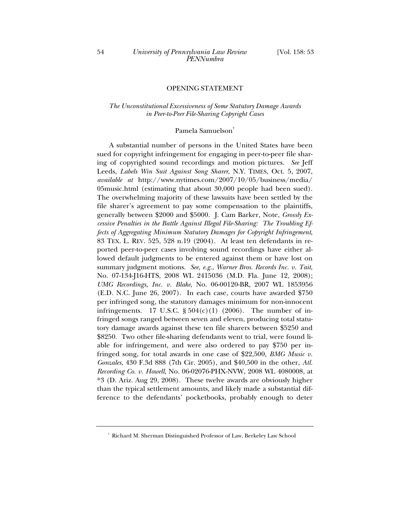## OPENING STATEMENT

## *The Unconstitutional Excessiveness of Some Statutory Damage Awards in Peer-to-Peer File-Sharing Copyright Cases*

#### Pamela Samuelson†

A substantial number of persons in the United States have been sued for copyright infringement for engaging in peer-to-peer file sharing of copyrighted sound recordings and motion pictures. *See* Jeff Leeds, *Labels Win Suit Against Song Sharer*, N.Y. TIMES, Oct. 5, 2007, *available at* http://www.nytimes.com/2007/10/05/business/media/ 05music.html (estimating that about 30,000 people had been sued). The overwhelming majority of these lawsuits have been settled by the file sharer's agreement to pay some compensation to the plaintiffs, generally between \$2000 and \$5000. J. Cam Barker, Note, *Grossly Excessive Penalties in the Battle Against Illegal File-Sharing: The Troubling Effects of Aggregating Minimum Statutory Damages for Copyright Infringement*, 83 TEX. L. REV. 525, 528 n.19 (2004). At least ten defendants in reported peer-to-peer cases involving sound recordings have either allowed default judgments to be entered against them or have lost on summary judgment motions. *See, e.g.*, *Warner Bros. Records Inc. v. Tait*, No. 07-134-J16-HTS, 2008 WL 2415036 (M.D. Fla. June 12, 2008); *UMG Recordings, Inc. v. Blake*, No. 06-00120-BR, 2007 WL 1853956 (E.D. N.C. June 26, 2007). In each case, courts have awarded \$750 per infringed song, the statutory damages minimum for non-innocent infringements. 17 U.S.C.  $\S 504(c)(1)$  (2006). The number of infringed songs ranged between seven and eleven, producing total statutory damage awards against these ten file sharers between \$5250 and \$8250. Two other file-sharing defendants went to trial, were found liable for infringement, and were also ordered to pay \$750 per infringed song, for total awards in one case of \$22,500, *BMG Music v. Gonzales*, 430 F.3d 888 (7th Cir. 2005), and \$40,500 in the other, *Atl. Recording Co. v. Howell*, No. 06-02076-PHX-NVW, 2008 WL 4080008, at \*3 (D. Ariz. Aug 29, 2008). These twelve awards are obviously higher than the typical settlement amounts, and likely made a substantial difference to the defendants' pocketbooks, probably enough to deter

<sup>†</sup> Richard M. Sherman Distinguished Professor of Law, Berkeley Law School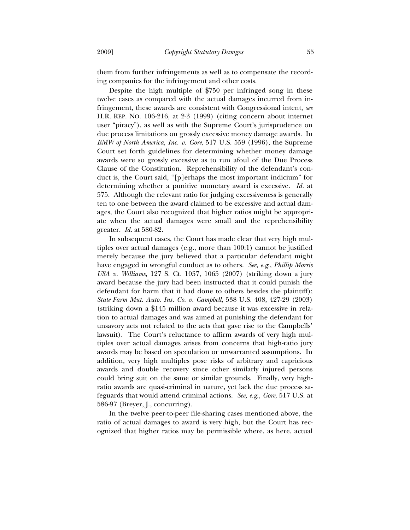them from further infringements as well as to compensate the recording companies for the infringement and other costs.

Despite the high multiple of \$750 per infringed song in these twelve cases as compared with the actual damages incurred from infringement, these awards are consistent with Congressional intent, *see* H.R. REP. NO. 106-216, at 2-3 (1999) (citing concern about internet user "piracy"), as well as with the Supreme Court's jurisprudence on due process limitations on grossly excessive money damage awards. In *BMW of North America, Inc. v. Gore*, 517 U.S. 559 (1996), the Supreme Court set forth guidelines for determining whether money damage awards were so grossly excessive as to run afoul of the Due Process Clause of the Constitution. Reprehensibility of the defendant's conduct is, the Court said, "[p]erhaps the most important indicium" for determining whether a punitive monetary award is excessive. *Id.* at 575. Although the relevant ratio for judging excessiveness is generally ten to one between the award claimed to be excessive and actual damages, the Court also recognized that higher ratios might be appropriate when the actual damages were small and the reprehensibility greater. *Id.* at 580-82.

In subsequent cases, the Court has made clear that very high multiples over actual damages (e.g., more than 100:1) cannot be justified merely because the jury believed that a particular defendant might have engaged in wrongful conduct as to others. *See, e.g.*, *Phillip Morris USA v. Williams*, 127 S. Ct. 1057, 1065 (2007) (striking down a jury award because the jury had been instructed that it could punish the defendant for harm that it had done to others besides the plaintiff); *State Farm Mut. Auto. Ins. Co. v. Campbell*, 538 U.S. 408, 427-29 (2003) (striking down a \$145 million award because it was excessive in relation to actual damages and was aimed at punishing the defendant for unsavory acts not related to the acts that gave rise to the Campbells' lawsuit). The Court's reluctance to affirm awards of very high multiples over actual damages arises from concerns that high-ratio jury awards may be based on speculation or unwarranted assumptions. In addition, very high multiples pose risks of arbitrary and capricious awards and double recovery since other similarly injured persons could bring suit on the same or similar grounds. Finally, very highratio awards are quasi-criminal in nature, yet lack the due process safeguards that would attend criminal actions. *See, e.g.*, *Gore*, 517 U.S. at 586-97 (Breyer, J., concurring).

In the twelve peer-to-peer file-sharing cases mentioned above, the ratio of actual damages to award is very high, but the Court has recognized that higher ratios may be permissible where, as here, actual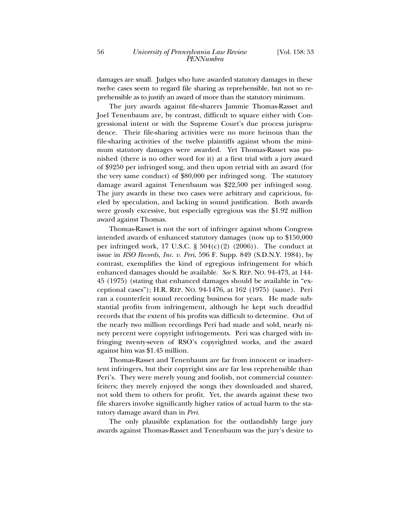damages are small. Judges who have awarded statutory damages in these twelve cases seem to regard file sharing as reprehensible, but not so reprehensible as to justify an award of more than the statutory minimum.

The jury awards against file-sharers Jammie Thomas-Rasset and Joel Tenenbaum are, by contrast, difficult to square either with Congressional intent or with the Supreme Court's due process jurisprudence. Their file-sharing activities were no more heinous than the file-sharing activities of the twelve plaintiffs against whom the minimum statutory damages were awarded. Yet Thomas-Rasset was punished (there is no other word for it) at a first trial with a jury award of \$9250 per infringed song, and then upon retrial with an award (for the very same conduct) of \$80,000 per infringed song. The statutory damage award against Tenenbaum was \$22,500 per infringed song. The jury awards in these two cases were arbitrary and capricious, fueled by speculation, and lacking in sound justification. Both awards were grossly excessive, but especially egregious was the \$1.92 million award against Thomas.

Thomas-Rasset is not the sort of infringer against whom Congress intended awards of enhanced statutory damages (now up to \$150,000 per infringed work, 17 U.S.C.  $\S$  504(c)(2) (2006)). The conduct at issue in *RSO Records, Inc. v. Peri*, 596 F. Supp. 849 (S.D.N.Y. 1984), by contrast, exemplifies the kind of egregious infringement for which enhanced damages should be available. *See* S. REP. NO. 94-473, at 144- 45 (1975) (stating that enhanced damages should be available in "exceptional cases"); H.R. REP. NO. 94-1476, at 162 (1975) (same). Peri ran a counterfeit sound recording business for years. He made substantial profits from infringement, although he kept such dreadful records that the extent of his profits was difficult to determine. Out of the nearly two million recordings Peri had made and sold, nearly ninety percent were copyright infringements. Peri was charged with infringing twenty-seven of RSO's copyrighted works, and the award against him was \$1.45 million.

Thomas-Rasset and Tenenbaum are far from innocent or inadvertent infringers, but their copyright sins are far less reprehensible than Peri's. They were merely young and foolish, not commercial counterfeiters; they merely enjoyed the songs they downloaded and shared, not sold them to others for profit. Yet, the awards against these two file sharers involve significantly higher ratios of actual harm to the statutory damage award than in *Peri*.

The only plausible explanation for the outlandishly large jury awards against Thomas-Rasset and Tenenbaum was the jury's desire to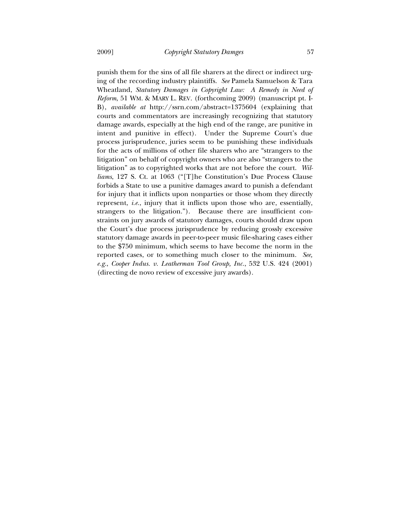punish them for the sins of all file sharers at the direct or indirect urging of the recording industry plaintiffs. *See* Pamela Samuelson & Tara Wheatland, *Statutory Damages in Copyright Law: A Remedy in Need of Reform*, 51 WM. & MARY L. REV. (forthcoming 2009) (manuscript pt. I-B), *available at* http://ssrn.com/abstract=1375604 (explaining that courts and commentators are increasingly recognizing that statutory damage awards, especially at the high end of the range, are punitive in intent and punitive in effect). Under the Supreme Court's due process jurisprudence, juries seem to be punishing these individuals for the acts of millions of other file sharers who are "strangers to the litigation" on behalf of copyright owners who are also "strangers to the litigation" as to copyrighted works that are not before the court. *Williams*, 127 S. Ct. at 1063 ("[T]he Constitution's Due Process Clause forbids a State to use a punitive damages award to punish a defendant for injury that it inflicts upon nonparties or those whom they directly represent, *i.e.*, injury that it inflicts upon those who are, essentially, strangers to the litigation."). Because there are insufficient constraints on jury awards of statutory damages, courts should draw upon the Court's due process jurisprudence by reducing grossly excessive statutory damage awards in peer-to-peer music file-sharing cases either to the \$750 minimum, which seems to have become the norm in the reported cases, or to something much closer to the minimum. *See, e.g.*, *Cooper Indus. v. Leatherman Tool Group, Inc.*, 532 U.S. 424 (2001) (directing de novo review of excessive jury awards).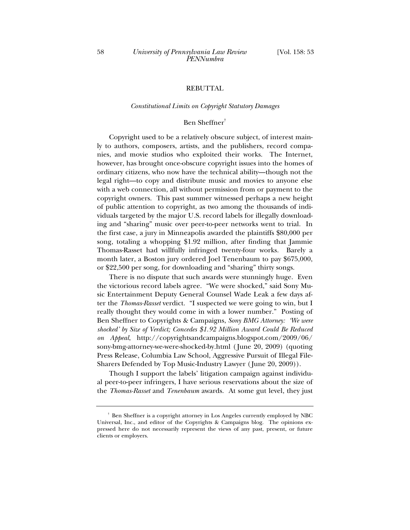## REBUTTAL

#### *Constitutional Limits on Copyright Statutory Damages*

#### Ben Sheffner†

Copyright used to be a relatively obscure subject, of interest mainly to authors, composers, artists, and the publishers, record companies, and movie studios who exploited their works. The Internet, however, has brought once-obscure copyright issues into the homes of ordinary citizens, who now have the technical ability—though not the legal right—to copy and distribute music and movies to anyone else with a web connection, all without permission from or payment to the copyright owners. This past summer witnessed perhaps a new height of public attention to copyright, as two among the thousands of individuals targeted by the major U.S. record labels for illegally downloading and "sharing" music over peer-to-peer networks went to trial. In the first case, a jury in Minneapolis awarded the plaintiffs \$80,000 per song, totaling a whopping \$1.92 million, after finding that Jammie Thomas-Rasset had willfully infringed twenty-four works. Barely a month later, a Boston jury ordered Joel Tenenbaum to pay \$675,000, or \$22,500 per song, for downloading and "sharing" thirty songs.

There is no dispute that such awards were stunningly huge. Even the victorious record labels agree. "We were shocked," said Sony Music Entertainment Deputy General Counsel Wade Leak a few days after the *Thomas-Rasset* verdict. "I suspected we were going to win, but I really thought they would come in with a lower number." Posting of Ben Sheffner to Copyrights & Campaigns, *Sony BMG Attorney: 'We were shocked' by Size of Verdict; Concedes \$1.92 Million Award Could Be Reduced on Appeal*, http://copyrightsandcampaigns.blogspot.com/2009/06/ sony-bmg-attorney-we-were-shocked-by.html ( June 20, 2009) (quoting Press Release, Columbia Law School, Aggressive Pursuit of Illegal File-Sharers Defended by Top Music-Industry Lawyer ( June 20, 2009)).

Though I support the labels' litigation campaign against individual peer-to-peer infringers, I have serious reservations about the size of the *Thomas-Rasset* and *Tenenbaum* awards. At some gut level, they just

<sup>†</sup> Ben Sheffner is a copyright attorney in Los Angeles currently employed by NBC Universal, Inc., and editor of the Copyrights & Campaigns blog. The opinions expressed here do not necessarily represent the views of any past, present, or future clients or employers.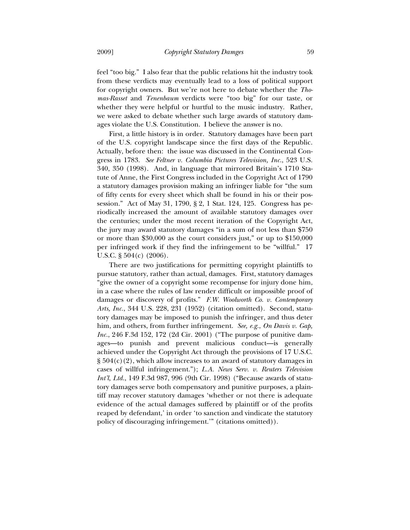feel "too big." I also fear that the public relations hit the industry took from these verdicts may eventually lead to a loss of political support for copyright owners. But we're not here to debate whether the *Thomas-Rasset* and *Tenenbaum* verdicts were "too big" for our taste, or whether they were helpful or hurtful to the music industry. Rather, we were asked to debate whether such large awards of statutory damages violate the U.S. Constitution. I believe the answer is no.

First, a little history is in order. Statutory damages have been part of the U.S. copyright landscape since the first days of the Republic. Actually, before then: the issue was discussed in the Continental Congress in 1783. *See Feltner v. Columbia Pictures Television, Inc.*, 523 U.S. 340, 350 (1998). And, in language that mirrored Britain's 1710 Statute of Anne, the First Congress included in the Copyright Act of 1790 a statutory damages provision making an infringer liable for "the sum of fifty cents for every sheet which shall be found in his or their possession." Act of May 31, 1790, § 2, 1 Stat. 124, 125. Congress has periodically increased the amount of available statutory damages over the centuries; under the most recent iteration of the Copyright Act, the jury may award statutory damages "in a sum of not less than \$750 or more than \$30,000 as the court considers just," or up to \$150,000 per infringed work if they find the infringement to be "willful." 17 U.S.C. § 504(c) (2006).

There are two justifications for permitting copyright plaintiffs to pursue statutory, rather than actual, damages. First, statutory damages "give the owner of a copyright some recompense for injury done him, in a case where the rules of law render difficult or impossible proof of damages or discovery of profits." *F.W. Woolworth Co. v. Contemporary Arts, Inc.*, 344 U.S. 228, 231 (1952) (citation omitted). Second, statutory damages may be imposed to punish the infringer, and thus deter him, and others, from further infringement. *See, e.g.*, *On Davis v. Gap, Inc.*, 246 F.3d 152, 172 (2d Cir. 2001) ("The purpose of punitive damages—to punish and prevent malicious conduct—is generally achieved under the Copyright Act through the provisions of 17 U.S.C.  $\S 504(c)(2)$ , which allow increases to an award of statutory damages in cases of willful infringement."); *L.A. News Serv. v. Reuters Television Int'l, Ltd.*, 149 F.3d 987, 996 (9th Cir. 1998) ("Because awards of statutory damages serve both compensatory and punitive purposes, a plaintiff may recover statutory damages 'whether or not there is adequate evidence of the actual damages suffered by plaintiff or of the profits reaped by defendant,' in order 'to sanction and vindicate the statutory policy of discouraging infringement.'" (citations omitted)).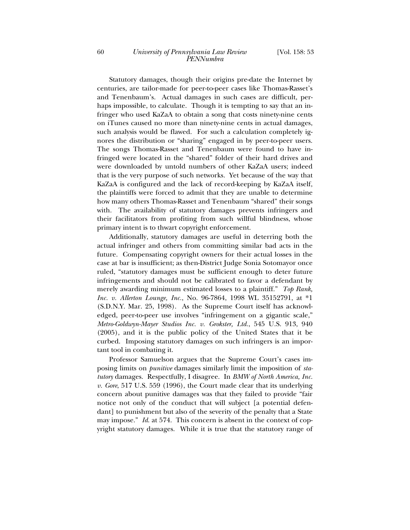Statutory damages, though their origins pre-date the Internet by centuries, are tailor-made for peer-to-peer cases like Thomas-Rasset's and Tenenbaum's. Actual damages in such cases are difficult, perhaps impossible, to calculate. Though it is tempting to say that an infringer who used KaZaA to obtain a song that costs ninety-nine cents on iTunes caused no more than ninety-nine cents in actual damages, such analysis would be flawed. For such a calculation completely ignores the distribution or "sharing" engaged in by peer-to-peer users. The songs Thomas-Rasset and Tenenbaum were found to have infringed were located in the "shared" folder of their hard drives and were downloaded by untold numbers of other KaZaA users; indeed that is the very purpose of such networks. Yet because of the way that KaZaA is configured and the lack of record-keeping by KaZaA itself, the plaintiffs were forced to admit that they are unable to determine how many others Thomas-Rasset and Tenenbaum "shared" their songs with. The availability of statutory damages prevents infringers and their facilitators from profiting from such willful blindness, whose primary intent is to thwart copyright enforcement.

Additionally, statutory damages are useful in deterring both the actual infringer and others from committing similar bad acts in the future. Compensating copyright owners for their actual losses in the case at bar is insufficient; as then-District Judge Sonia Sotomayor once ruled, "statutory damages must be sufficient enough to deter future infringements and should not be calibrated to favor a defendant by merely awarding minimum estimated losses to a plaintiff." *Top Rank, Inc. v. Allerton Lounge, Inc.*, No. 96-7864, 1998 WL 35152791, at \*1 (S.D.N.Y. Mar. 25, 1998). As the Supreme Court itself has acknowledged, peer-to-peer use involves "infringement on a gigantic scale," *Metro-Goldwyn-Mayer Studios Inc. v. Grokster, Ltd.*, 545 U.S. 913, 940 (2005), and it is the public policy of the United States that it be curbed. Imposing statutory damages on such infringers is an important tool in combating it.

Professor Samuelson argues that the Supreme Court's cases imposing limits on *punitive* damages similarly limit the imposition of *statutory* damages. Respectfully, I disagree. In *BMW of North America, Inc. v. Gore*, 517 U.S. 559 (1996), the Court made clear that its underlying concern about punitive damages was that they failed to provide "fair notice not only of the conduct that will subject [a potential defendant] to punishment but also of the severity of the penalty that a State may impose." *Id*. at 574. This concern is absent in the context of copyright statutory damages. While it is true that the statutory range of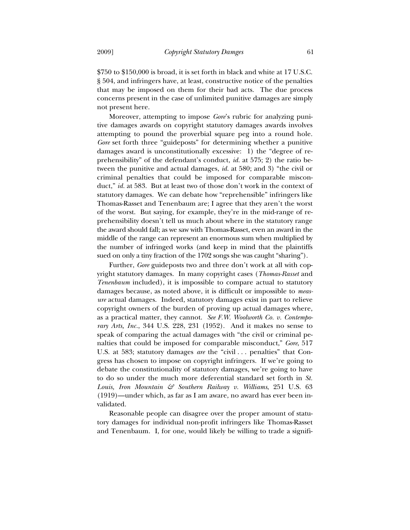\$750 to \$150,000 is broad, it is set forth in black and white at 17 U.S.C. § 504, and infringers have, at least, constructive notice of the penalties that may be imposed on them for their bad acts. The due process concerns present in the case of unlimited punitive damages are simply not present here.

Moreover, attempting to impose *Gore*'s rubric for analyzing punitive damages awards on copyright statutory damages awards involves attempting to pound the proverbial square peg into a round hole. *Gore* set forth three "guideposts" for determining whether a punitive damages award is unconstitutionally excessive: 1) the "degree of reprehensibility" of the defendant's conduct, *id.* at 575; 2) the ratio between the punitive and actual damages, *id.* at 580; and 3) "the civil or criminal penalties that could be imposed for comparable misconduct," *id.* at 583. But at least two of those don't work in the context of statutory damages. We can debate how "reprehensible" infringers like Thomas-Rasset and Tenenbaum are; I agree that they aren't the worst of the worst. But saying, for example, they're in the mid-range of reprehensibility doesn't tell us much about where in the statutory range the award should fall; as we saw with Thomas-Rasset, even an award in the middle of the range can represent an enormous sum when multiplied by the number of infringed works (and keep in mind that the plaintiffs sued on only a tiny fraction of the 1702 songs she was caught "sharing").

Further, *Gore* guideposts two and three don't work at all with copyright statutory damages. In many copyright cases (*Thomas-Rasset* and *Tenenbaum* included), it is impossible to compare actual to statutory damages because, as noted above, it is difficult or impossible to *measure* actual damages. Indeed, statutory damages exist in part to relieve copyright owners of the burden of proving up actual damages where, as a practical matter, they cannot. *See F.W. Woolworth Co. v. Contemporary Arts, Inc.*, 344 U.S. 228, 231 (1952). And it makes no sense to speak of comparing the actual damages with "the civil or criminal penalties that could be imposed for comparable misconduct," *Gore*, 517 U.S. at 583; statutory damages *are* the "civil . . . penalties" that Congress has chosen to impose on copyright infringers. If we're going to debate the constitutionality of statutory damages, we're going to have to do so under the much more deferential standard set forth in *St. Louis, Iron Mountain & Southern Railway v. Williams*, 251 U.S. 63 (1919)—under which, as far as I am aware, no award has ever been invalidated.

Reasonable people can disagree over the proper amount of statutory damages for individual non-profit infringers like Thomas-Rasset and Tenenbaum. I, for one, would likely be willing to trade a signifi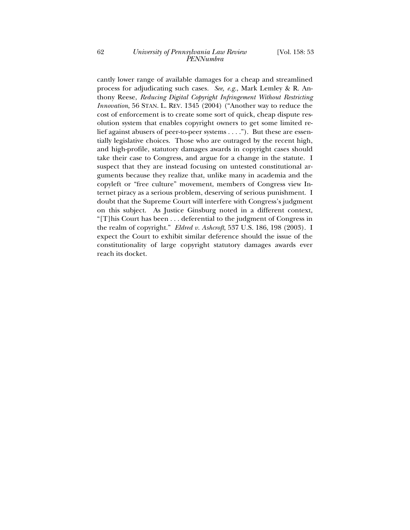cantly lower range of available damages for a cheap and streamlined process for adjudicating such cases. *See, e.g.*, Mark Lemley & R. Anthony Reese, *Reducing Digital Copyright Infringement Without Restricting Innovation*, 56 STAN. L. REV. 1345 (2004) ("Another way to reduce the cost of enforcement is to create some sort of quick, cheap dispute resolution system that enables copyright owners to get some limited relief against abusers of peer-to-peer systems . . . ."). But these are essentially legislative choices. Those who are outraged by the recent high, and high-profile, statutory damages awards in copyright cases should take their case to Congress, and argue for a change in the statute. I suspect that they are instead focusing on untested constitutional arguments because they realize that, unlike many in academia and the copyleft or "free culture" movement, members of Congress view Internet piracy as a serious problem, deserving of serious punishment. I doubt that the Supreme Court will interfere with Congress's judgment on this subject. As Justice Ginsburg noted in a different context, "[T]his Court has been . . . deferential to the judgment of Congress in the realm of copyright." *Eldred v. Ashcroft*, 537 U.S. 186, 198 (2003). I expect the Court to exhibit similar deference should the issue of the constitutionality of large copyright statutory damages awards ever reach its docket.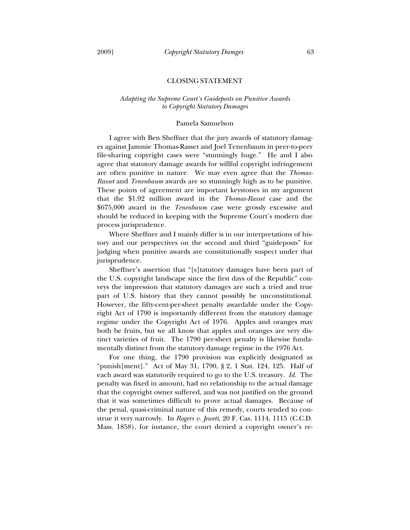#### CLOSING STATEMENT

## *Adapting the Supreme Court's Guideposts on Punitive Awards to Copyright Statutory Damages*

#### Pamela Samuelson

I agree with Ben Sheffner that the jury awards of statutory damages against Jammie Thomas-Rasset and Joel Tenenbaum in peer-to-peer file-sharing copyright cases were "stunningly huge." He and I also agree that statutory damage awards for willful copyright infringement are often punitive in nature. We may even agree that the *Thomas-Rasset* and *Tenenbaum* awards are so stunningly high as to be punitive. These points of agreement are important keystones in my argument that the \$1.92 million award in the *Thomas-Rasset* case and the \$675,000 award in the *Tenenbaum* case were grossly excessive and should be reduced in keeping with the Supreme Court's modern due process jurisprudence.

Where Sheffner and I mainly differ is in our interpretations of history and our perspectives on the second and third "guideposts" for judging when punitive awards are constitutionally suspect under that jurisprudence.

Sheffner's assertion that "[s]tatutory damages have been part of the U.S. copyright landscape since the first days of the Republic" conveys the impression that statutory damages are such a tried and true part of U.S. history that they cannot possibly be unconstitutional. However, the fifty-cent-per-sheet penalty awardable under the Copyright Act of 1790 is importantly different from the statutory damage regime under the Copyright Act of 1976. Apples and oranges may both be fruits, but we all know that apples and oranges are very distinct varieties of fruit. The 1790 per-sheet penalty is likewise fundamentally distinct from the statutory damage regime in the 1976 Act.

For one thing, the 1790 provision was explicitly designated as "punish[ment]." Act of May 31, 1790, § 2, 1 Stat. 124, 125. Half of each award was statutorily required to go to the U.S. treasury. *Id.* The penalty was fixed in amount, had no relationship to the actual damage that the copyright owner suffered, and was not justified on the ground that it was sometimes difficult to prove actual damages. Because of the penal, quasi-criminal nature of this remedy, courts tended to construe it very narrowly. In *Rogers v. Jewett*, 20 F. Cas. 1114, 1115 (C.C.D. Mass. 1858), for instance, the court denied a copyright owner's re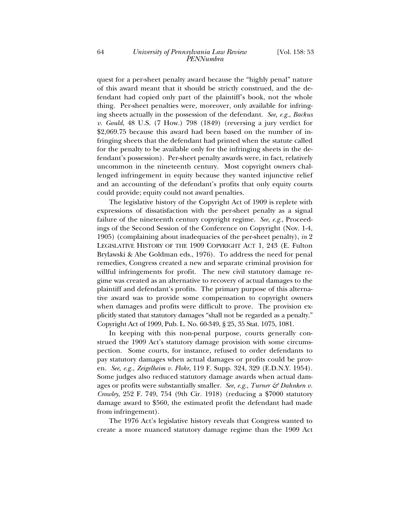quest for a per-sheet penalty award because the "highly penal" nature of this award meant that it should be strictly construed, and the defendant had copied only part of the plaintiff's book, not the whole thing. Per-sheet penalties were, moreover, only available for infringing sheets actually in the possession of the defendant. *See, e.g.*, *Backus v. Gould*, 48 U.S. (7 How.) 798 (1849) (reversing a jury verdict for \$2,069.75 because this award had been based on the number of infringing sheets that the defendant had printed when the statute called for the penalty to be available only for the infringing sheets in the defendant's possession). Per-sheet penalty awards were, in fact, relatively uncommon in the nineteenth century. Most copyright owners challenged infringement in equity because they wanted injunctive relief and an accounting of the defendant's profits that only equity courts could provide; equity could not award penalties.

The legislative history of the Copyright Act of 1909 is replete with expressions of dissatisfaction with the per-sheet penalty as a signal failure of the nineteenth century copyright regime. *See, e.g.*, Proceedings of the Second Session of the Conference on Copyright (Nov. 1-4, 1905) (complaining about inadequacies of the per-sheet penalty), *in* 2 LEGISLATIVE HISTORY OF THE 1909 COPYRIGHT ACT 1, 243 (E. Fulton Brylawski & Abe Goldman eds., 1976). To address the need for penal remedies, Congress created a new and separate criminal provision for willful infringements for profit. The new civil statutory damage regime was created as an alternative to recovery of actual damages to the plaintiff and defendant's profits. The primary purpose of this alternative award was to provide some compensation to copyright owners when damages and profits were difficult to prove. The provision explicitly stated that statutory damages "shall not be regarded as a penalty." Copyright Act of 1909, Pub. L. No. 60-349, § 25, 35 Stat. 1075, 1081.

In keeping with this non-penal purpose, courts generally construed the 1909 Act's statutory damage provision with some circumspection. Some courts, for instance, refused to order defendants to pay statutory damages when actual damages or profits could be proven. *See, e.g.*, *Zeigelheim v. Flohr*, 119 F. Supp. 324, 329 (E.D.N.Y. 1954). Some judges also reduced statutory damage awards when actual damages or profits were substantially smaller. *See, e.g.*, *Turner & Dahnken v. Crowley*, 252 F. 749, 754 (9th Cir. 1918) (reducing a \$7000 statutory damage award to \$560, the estimated profit the defendant had made from infringement).

The 1976 Act's legislative history reveals that Congress wanted to create a more nuanced statutory damage regime than the 1909 Act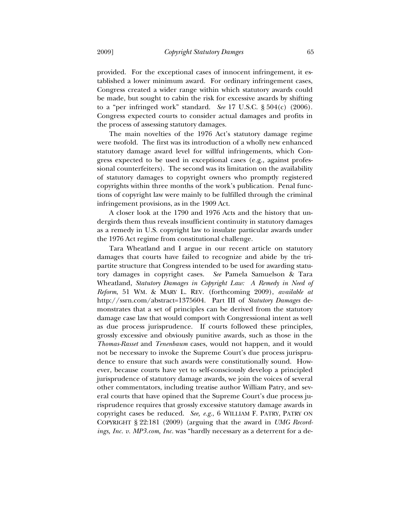provided. For the exceptional cases of innocent infringement, it established a lower minimum award. For ordinary infringement cases, Congress created a wider range within which statutory awards could be made, but sought to cabin the risk for excessive awards by shifting to a "per infringed work" standard. *See* 17 U.S.C. § 504(c) (2006). Congress expected courts to consider actual damages and profits in the process of assessing statutory damages.

The main novelties of the 1976 Act's statutory damage regime were twofold. The first was its introduction of a wholly new enhanced statutory damage award level for willful infringements, which Congress expected to be used in exceptional cases (e.g., against professional counterfeiters). The second was its limitation on the availability of statutory damages to copyright owners who promptly registered copyrights within three months of the work's publication. Penal functions of copyright law were mainly to be fulfilled through the criminal infringement provisions, as in the 1909 Act.

A closer look at the 1790 and 1976 Acts and the history that undergirds them thus reveals insufficient continuity in statutory damages as a remedy in U.S. copyright law to insulate particular awards under the 1976 Act regime from constitutional challenge.

Tara Wheatland and I argue in our recent article on statutory damages that courts have failed to recognize and abide by the tripartite structure that Congress intended to be used for awarding statutory damages in copyright cases. *See* Pamela Samuelson & Tara Wheatland, *Statutory Damages in Copyright Law: A Remedy in Need of Reform*, 51 WM. & MARY L. REV. (forthcoming 2009), *available at* http://ssrn.com/abstract=1375604. Part III of *Statutory Damages* demonstrates that a set of principles can be derived from the statutory damage case law that would comport with Congressional intent as well as due process jurisprudence. If courts followed these principles, grossly excessive and obviously punitive awards, such as those in the *Thomas-Rasset* and *Tenenbaum* cases, would not happen, and it would not be necessary to invoke the Supreme Court's due process jurisprudence to ensure that such awards were constitutionally sound. However, because courts have yet to self-consciously develop a principled jurisprudence of statutory damage awards, we join the voices of several other commentators, including treatise author William Patry, and several courts that have opined that the Supreme Court's due process jurisprudence requires that grossly excessive statutory damage awards in copyright cases be reduced. *See, e.g.*, 6 WILLIAM F. PATRY, PATRY ON COPYRIGHT § 22:181 (2009) (arguing that the award in *UMG Recordings, Inc. v. MP3.com, Inc.* was "hardly necessary as a deterrent for a de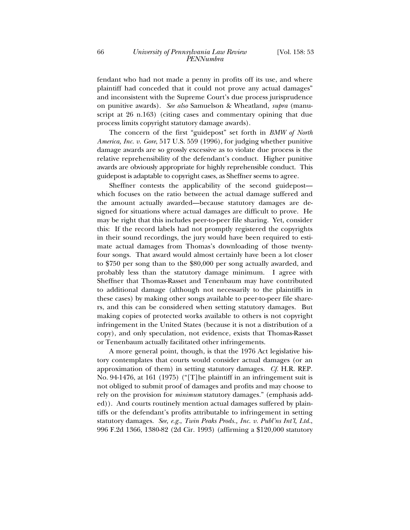fendant who had not made a penny in profits off its use, and where plaintiff had conceded that it could not prove any actual damages" and inconsistent with the Supreme Court's due process jurisprudence on punitive awards). *See also* Samuelson & Wheatland, *supra* (manuscript at 26 n.163) (citing cases and commentary opining that due process limits copyright statutory damage awards).

The concern of the first "guidepost" set forth in *BMW of North America, Inc. v. Gore*, 517 U.S. 559 (1996), for judging whether punitive damage awards are so grossly excessive as to violate due process is the relative reprehensibility of the defendant's conduct. Higher punitive awards are obviously appropriate for highly reprehensible conduct. This guidepost is adaptable to copyright cases, as Sheffner seems to agree.

Sheffner contests the applicability of the second guidepost which focuses on the ratio between the actual damage suffered and the amount actually awarded—because statutory damages are designed for situations where actual damages are difficult to prove. He may be right that this includes peer-to-peer file sharing. Yet, consider this: If the record labels had not promptly registered the copyrights in their sound recordings, the jury would have been required to estimate actual damages from Thomas's downloading of those twentyfour songs. That award would almost certainly have been a lot closer to \$750 per song than to the \$80,000 per song actually awarded, and probably less than the statutory damage minimum. I agree with Sheffner that Thomas-Rasset and Tenenbaum may have contributed to additional damage (although not necessarily to the plaintiffs in these cases) by making other songs available to peer-to-peer file sharers, and this can be considered when setting statutory damages. But making copies of protected works available to others is not copyright infringement in the United States (because it is not a distribution of a copy), and only speculation, not evidence, exists that Thomas-Rasset or Tenenbaum actually facilitated other infringements.

A more general point, though, is that the 1976 Act legislative history contemplates that courts would consider actual damages (or an approximation of them) in setting statutory damages. *Cf.* H.R. REP. No. 94-1476, at 161 (1975) ("[T]he plaintiff in an infringement suit is not obliged to submit proof of damages and profits and may choose to rely on the provision for *minimum* statutory damages." (emphasis added)). And courts routinely mention actual damages suffered by plaintiffs or the defendant's profits attributable to infringement in setting statutory damages. *See, e.g.*, *Twin Peaks Prods., Inc. v. Publ'ns Int'l, Ltd.*, 996 F.2d 1366, 1380-82 (2d Cir. 1993) (affirming a \$120,000 statutory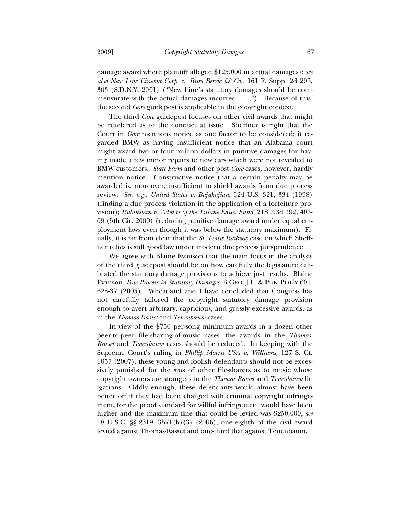damage award where plaintiff alleged \$125,000 in actual damages); *see also New Line Cinema Corp. v. Russ Berrie & Co.*, 161 F. Supp. 2d 293, 303 (S.D.N.Y. 2001) ("New Line's statutory damages should be commensurate with the actual damages incurred . . . ."). Because of this, the second *Gore* guidepost is applicable in the copyright context.

The third *Gore* guidepost focuses on other civil awards that might be rendered as to the conduct at issue. Sheffner is right that the Court in *Gore* mentions notice as one factor to be considered; it regarded BMW as having insufficient notice that an Alabama court might award two or four million dollars in punitive damages for having made a few minor repairs to new cars which were not revealed to BMW customers. *State Farm* and other post-*Gore* cases, however, hardly mention notice. Constructive notice that a certain penalty may be awarded is, moreover, insufficient to shield awards from due process review. *See, e.g.*, *United States v. Bajakajian*, 524 U.S. 321, 334 (1998) (finding a due process violation in the application of a forfeiture provision); *Rubinstein v. Adm'rs of the Tulane Educ. Fund*, 218 F.3d 392, 403- 09 (5th Cir. 2000) (reducing punitive damage award under equal employment laws even though it was below the statutory maximum). Finally, it is far from clear that the *St. Louis Railway* case on which Sheffner relies is still good law under modern due process jurisprudence.

We agree with Blaine Evanson that the main focus in the analysis of the third guidepost should be on how carefully the legislature calibrated the statutory damage provisions to achieve just results. Blaine Evanson, *Due Process in Statutory Damages*, 3 GEO. J.L. & PUB. POL'Y 601, 628-37 (2005). Wheatland and I have concluded that Congress has not carefully tailored the copyright statutory damage provision enough to avert arbitrary, capricious, and grossly excessive awards, as in the *Thomas-Rasset* and *Tenenbaum* cases.

In view of the \$750 per-song minimum awards in a dozen other peer-to-peer file-sharing-of-music cases, the awards in the *Thomas-Rasset* and *Tenenbaum* cases should be reduced. In keeping with the Supreme Court's ruling in *Phillip Morris USA v. Williams*, 127 S. Ct. 1057 (2007), these young and foolish defendants should not be excessively punished for the sins of other file-sharers as to music whose copyright owners are strangers to the *Thomas-Rasset* and *Tenenbaum* litigations. Oddly enough, these defendants would almost have been better off if they had been charged with criminal copyright infringement, for the proof standard for willful infringement would have been higher and the maximum fine that could be levied was \$250,000, *see* 18 U.S.C. §§ 2319, 3571(b)(3) (2006), one-eighth of the civil award levied against Thomas-Rasset and one-third that against Tenenbaum.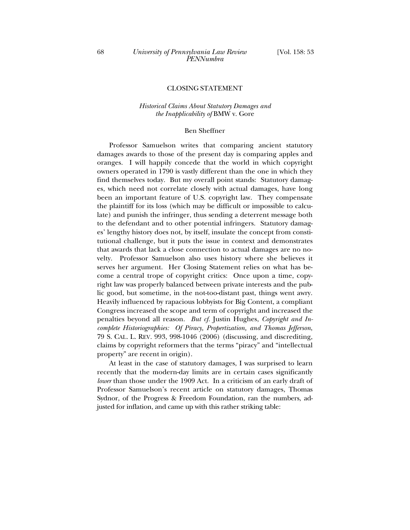## CLOSING STATEMENT

## *Historical Claims About Statutory Damages and the Inapplicability of* BMW v. Gore

#### Ben Sheffner

Professor Samuelson writes that comparing ancient statutory damages awards to those of the present day is comparing apples and oranges. I will happily concede that the world in which copyright owners operated in 1790 is vastly different than the one in which they find themselves today. But my overall point stands: Statutory damages, which need not correlate closely with actual damages, have long been an important feature of U.S. copyright law. They compensate the plaintiff for its loss (which may be difficult or impossible to calculate) and punish the infringer, thus sending a deterrent message both to the defendant and to other potential infringers. Statutory damages' lengthy history does not, by itself, insulate the concept from constitutional challenge, but it puts the issue in context and demonstrates that awards that lack a close connection to actual damages are no novelty. Professor Samuelson also uses history where she believes it serves her argument. Her Closing Statement relies on what has become a central trope of copyright critics: Once upon a time, copyright law was properly balanced between private interests and the public good, but sometime, in the not-too-distant past, things went awry. Heavily influenced by rapacious lobbyists for Big Content, a compliant Congress increased the scope and term of copyright and increased the penalties beyond all reason. *But cf.* Justin Hughes, *Copyright and Incomplete Historiographies: Of Piracy, Propertization, and Thomas Jefferson*, 79 S. CAL. L. REV. 993, 998-1046 (2006) (discussing, and discrediting, claims by copyright reformers that the terms "piracy" and "intellectual property" are recent in origin).

At least in the case of statutory damages, I was surprised to learn recently that the modern-day limits are in certain cases significantly *lower* than those under the 1909 Act. In a criticism of an early draft of Professor Samuelson's recent article on statutory damages, Thomas Sydnor, of the Progress & Freedom Foundation, ran the numbers, adjusted for inflation, and came up with this rather striking table: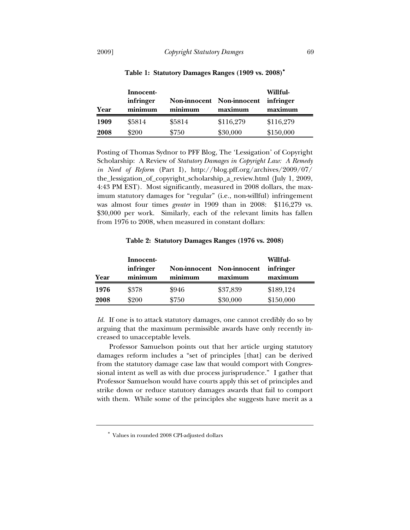| Year | Innocent-<br>infringer<br>minimum | minimum | Non-innocent Non-innocent<br>maximum | Willful-<br>infringer<br>maximum |  |
|------|-----------------------------------|---------|--------------------------------------|----------------------------------|--|
| 1909 | \$5814                            | \$5814  | \$116,279                            | \$116,279                        |  |
| 2008 | \$200                             | \$750   | \$30,000                             | \$150,000                        |  |

**Table 1: Statutory Damages Ranges (1909 vs. 2008)**

Posting of Thomas Sydnor to PFF Blog, The 'Lessigation' of Copyright Scholarship: A Review of *Statutory Damages in Copyright Law: A Remedy in Need of Reform* (Part I), http://blog.pff.org/archives/2009/07/ the\_lessigation\_of\_copyright\_scholarship\_a\_review.html (July 1, 2009, 4:43 PM EST). Most significantly, measured in 2008 dollars, the maximum statutory damages for "regular" (i.e., non-willful) infringement was almost four times *greater* in 1909 than in 2008: \$116,279 vs. \$30,000 per work. Similarly, each of the relevant limits has fallen from 1976 to 2008, when measured in constant dollars:

**Table 2: Statutory Damages Ranges (1976 vs. 2008)** 

| Year | Innocent-<br>infringer<br>minimum | Non-innocent Non-innocent<br>minimum | maximum  | Willful-<br>infringer<br>maximum |
|------|-----------------------------------|--------------------------------------|----------|----------------------------------|
| 1976 | \$378                             | \$946                                | \$37,839 | \$189,124                        |
| 2008 | \$200                             | \$750                                | \$30,000 | \$150,000                        |

*Id.* If one is to attack statutory damages, one cannot credibly do so by arguing that the maximum permissible awards have only recently increased to unacceptable levels.

Professor Samuelson points out that her article urging statutory damages reform includes a "set of principles [that] can be derived from the statutory damage case law that would comport with Congressional intent as well as with due process jurisprudence." I gather that Professor Samuelson would have courts apply this set of principles and strike down or reduce statutory damages awards that fail to comport with them. While some of the principles she suggests have merit as a

Values in rounded 2008 CPI-adjusted dollars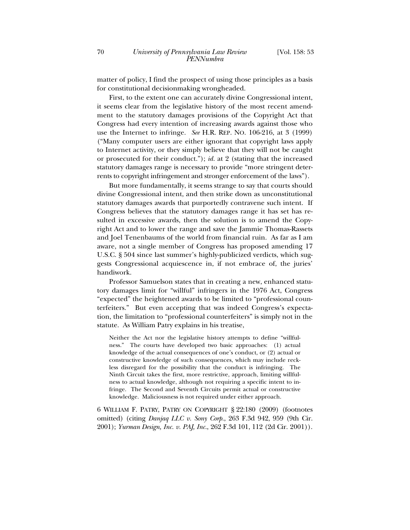matter of policy, I find the prospect of using those principles as a basis for constitutional decisionmaking wrongheaded.

First, to the extent one can accurately divine Congressional intent, it seems clear from the legislative history of the most recent amendment to the statutory damages provisions of the Copyright Act that Congress had every intention of increasing awards against those who use the Internet to infringe. *See* H.R. REP. NO. 106-216, at 3 (1999) ("Many computer users are either ignorant that copyright laws apply to Internet activity, or they simply believe that they will not be caught or prosecuted for their conduct."); *id.* at 2 (stating that the increased statutory damages range is necessary to provide "more stringent deterrents to copyright infringement and stronger enforcement of the laws").

But more fundamentally, it seems strange to say that courts should divine Congressional intent, and then strike down as unconstitutional statutory damages awards that purportedly contravene such intent. If Congress believes that the statutory damages range it has set has resulted in excessive awards, then the solution is to amend the Copyright Act and to lower the range and save the Jammie Thomas-Rassets and Joel Tenenbaums of the world from financial ruin. As far as I am aware, not a single member of Congress has proposed amending 17 U.S.C. § 504 since last summer's highly-publicized verdicts, which suggests Congressional acquiescence in, if not embrace of, the juries' handiwork.

Professor Samuelson states that in creating a new, enhanced statutory damages limit for "willful" infringers in the 1976 Act, Congress "expected" the heightened awards to be limited to "professional counterfeiters." But even accepting that was indeed Congress's expectation, the limitation to "professional counterfeiters" is simply not in the statute. As William Patry explains in his treatise,

Neither the Act nor the legislative history attempts to define "willfulness." The courts have developed two basic approaches: (1) actual knowledge of the actual consequences of one's conduct, or (2) actual or constructive knowledge of such consequences, which may include reckless disregard for the possibility that the conduct is infringing. The Ninth Circuit takes the first, more restrictive, approach, limiting willfulness to actual knowledge, although not requiring a specific intent to infringe. The Second and Seventh Circuits permit actual or constructive knowledge. Maliciousness is not required under either approach.

6 WILLIAM F. PATRY, PATRY ON COPYRIGHT § 22:180 (2009) (footnotes omitted) (citing *Danjaq LLC v. Sony Corp.*, 263 F.3d 942, 959 (9th Cir. 2001); *Yurman Design, Inc. v. PAJ, Inc.*, 262 F.3d 101, 112 (2d Cir. 2001)).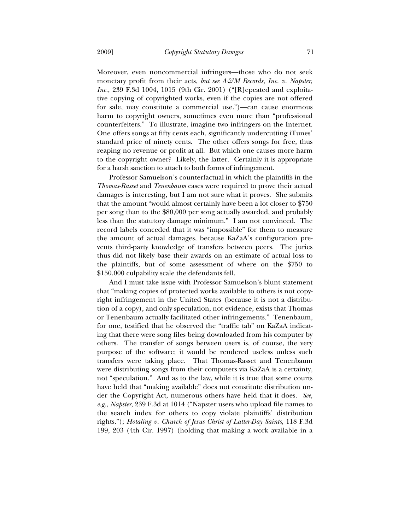Moreover, even noncommercial infringers—those who do not seek monetary profit from their acts, *but see A&M Records*, *Inc. v. Napster*, *Inc.*, 239 F.3d 1004, 1015 (9th Cir. 2001) ("[R]epeated and exploitative copying of copyrighted works, even if the copies are not offered for sale, may constitute a commercial use.")—can cause enormous harm to copyright owners, sometimes even more than "professional counterfeiters." To illustrate, imagine two infringers on the Internet. One offers songs at fifty cents each, significantly undercutting iTunes' standard price of ninety cents. The other offers songs for free, thus reaping no revenue or profit at all. But which one causes more harm to the copyright owner? Likely, the latter. Certainly it is appropriate for a harsh sanction to attach to both forms of infringement.

Professor Samuelson's counterfactual in which the plaintiffs in the *Thomas-Rasset* and *Tenenbaum* cases were required to prove their actual damages is interesting, but I am not sure what it proves. She submits that the amount "would almost certainly have been a lot closer to \$750 per song than to the \$80,000 per song actually awarded, and probably less than the statutory damage minimum." I am not convinced. The record labels conceded that it was "impossible" for them to measure the amount of actual damages, because KaZaA's configuration prevents third-party knowledge of transfers between peers. The juries thus did not likely base their awards on an estimate of actual loss to the plaintiffs, but of some assessment of where on the \$750 to \$150,000 culpability scale the defendants fell.

And I must take issue with Professor Samuelson's blunt statement that "making copies of protected works available to others is not copyright infringement in the United States (because it is not a distribution of a copy), and only speculation, not evidence, exists that Thomas or Tenenbaum actually facilitated other infringements." Tenenbaum, for one, testified that he observed the "traffic tab" on KaZaA indicating that there were song files being downloaded from his computer by others. The transfer of songs between users is, of course, the very purpose of the software; it would be rendered useless unless such transfers were taking place. That Thomas-Rasset and Tenenbaum were distributing songs from their computers via KaZaA is a certainty, not "speculation." And as to the law, while it is true that some courts have held that "making available" does not constitute distribution under the Copyright Act, numerous others have held that it does. *See, e.g.*, *Napster*, 239 F.3d at 1014 ("Napster users who upload file names to the search index for others to copy violate plaintiffs' distribution rights."); *Hotaling v. Church of Jesus Christ of Latter-Day Saints*, 118 F.3d 199, 203 (4th Cir. 1997) (holding that making a work available in a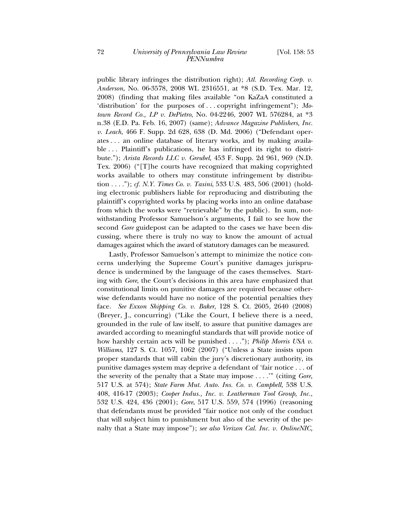public library infringes the distribution right); *Atl. Recording Corp. v. Anderson*, No. 06-3578, 2008 WL 2316551, at \*8 (S.D. Tex. Mar. 12, 2008) (finding that making files available "on KaZaA constituted a 'distribution' for the purposes of . . . copyright infringement"); *Motown Record Co., LP v. DePietro*, No. 04-2246, 2007 WL 576284, at \*3 n.38 (E.D. Pa. Feb. 16, 2007) (same); *Advance Magazine Publishers, Inc. v. Leach*, 466 F. Supp. 2d 628, 638 (D. Md. 2006) ("Defendant operates . . . an online database of literary works, and by making available ... Plaintiff's publications, he has infringed its right to distribute."); *Arista Records LLC v. Greubel*, 453 F. Supp. 2d 961, 969 (N.D. Tex. 2006) ("[T]he courts have recognized that making copyrighted works available to others may constitute infringement by distribution . . . ."); *cf. N.Y. Times Co. v. Tasini*, 533 U.S. 483, 506 (2001) (holding electronic publishers liable for reproducing and distributing the plaintiff's copyrighted works by placing works into an online database from which the works were "retrievable" by the public). In sum, notwithstanding Professor Samuelson's arguments, I fail to see how the second *Gore* guidepost can be adapted to the cases we have been discussing, where there is truly no way to know the amount of actual damages against which the award of statutory damages can be measured.

Lastly, Professor Samuelson's attempt to minimize the notice concerns underlying the Supreme Court's punitive damages jurisprudence is undermined by the language of the cases themselves. Starting with *Gore*, the Court's decisions in this area have emphasized that constitutional limits on punitive damages are required because otherwise defendants would have no notice of the potential penalties they face. *See Exxon Shipping Co. v. Baker*, 128 S. Ct. 2605, 2640 (2008) (Breyer, J., concurring) ("Like the Court, I believe there is a need, grounded in the rule of law itself, to assure that punitive damages are awarded according to meaningful standards that will provide notice of how harshly certain acts will be punished . . . ."); *Philip Morris USA v. Williams*, 127 S. Ct. 1057, 1062 (2007) ("Unless a State insists upon proper standards that will cabin the jury's discretionary authority, its punitive damages system may deprive a defendant of 'fair notice . . . of the severity of the penalty that a State may impose . . . .'" (citing *Gore,* 517 U.S. at 574); *State Farm Mut. Auto. Ins. Co. v. Campbell*, 538 U.S. 408, 416-17 (2003); *Cooper Indus., Inc. v. Leatherman Tool Group, Inc.*, 532 U.S. 424, 436 (2001); *Gore*, 517 U.S. 559, 574 (1996) (reasoning that defendants must be provided "fair notice not only of the conduct that will subject him to punishment but also of the severity of the penalty that a State may impose"); *see also Verizon Cal. Inc. v. OnlineNIC,*